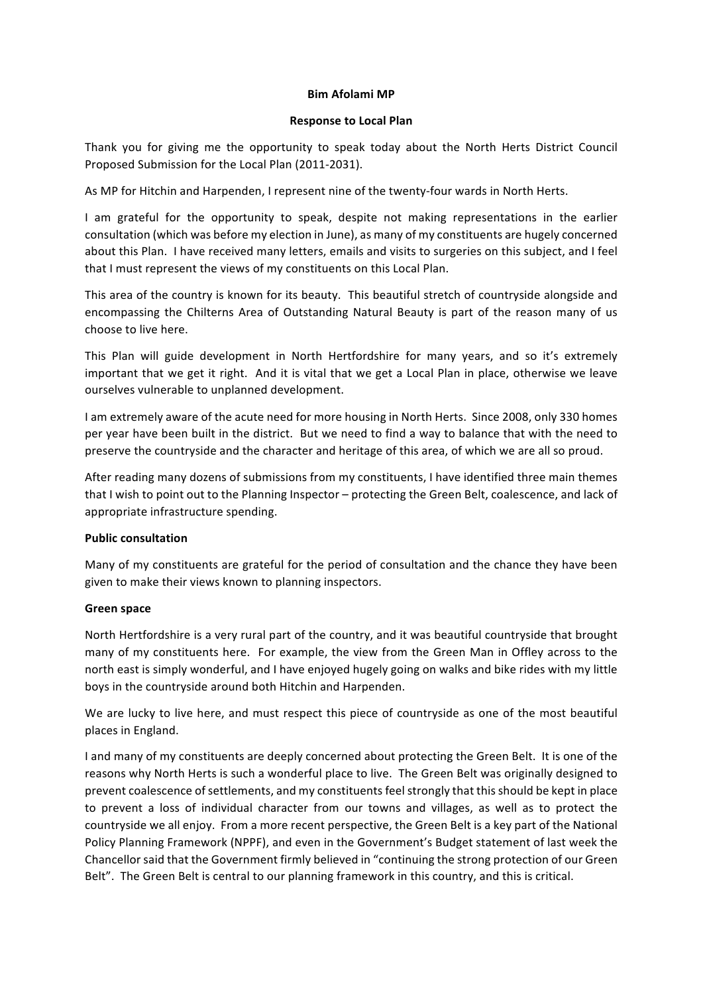#### **Bim Afolami MP**

#### **Response to Local Plan**

Thank you for giving me the opportunity to speak today about the North Herts District Council Proposed Submission for the Local Plan (2011-2031).

As MP for Hitchin and Harpenden, I represent nine of the twenty-four wards in North Herts.

I am grateful for the opportunity to speak, despite not making representations in the earlier consultation (which was before my election in June), as many of my constituents are hugely concerned about this Plan. I have received many letters, emails and visits to surgeries on this subject, and I feel that I must represent the views of my constituents on this Local Plan.

This area of the country is known for its beauty. This beautiful stretch of countryside alongside and encompassing the Chilterns Area of Outstanding Natural Beauty is part of the reason many of us choose to live here.

This Plan will guide development in North Hertfordshire for many years, and so it's extremely important that we get it right. And it is vital that we get a Local Plan in place, otherwise we leave ourselves vulnerable to unplanned development.

I am extremely aware of the acute need for more housing in North Herts. Since 2008, only 330 homes per year have been built in the district. But we need to find a way to balance that with the need to preserve the countryside and the character and heritage of this area, of which we are all so proud.

After reading many dozens of submissions from my constituents, I have identified three main themes that I wish to point out to the Planning Inspector – protecting the Green Belt, coalescence, and lack of appropriate infrastructure spending.

### **Public consultation**

Many of my constituents are grateful for the period of consultation and the chance they have been given to make their views known to planning inspectors.

### **Green space**

North Hertfordshire is a very rural part of the country, and it was beautiful countryside that brought many of my constituents here. For example, the view from the Green Man in Offley across to the north east is simply wonderful, and I have enjoyed hugely going on walks and bike rides with my little boys in the countryside around both Hitchin and Harpenden.

We are lucky to live here, and must respect this piece of countryside as one of the most beautiful places in England.

I and many of my constituents are deeply concerned about protecting the Green Belt. It is one of the reasons why North Herts is such a wonderful place to live. The Green Belt was originally designed to prevent coalescence of settlements, and my constituents feel strongly that this should be kept in place to prevent a loss of individual character from our towns and villages, as well as to protect the countryside we all enjoy. From a more recent perspective, the Green Belt is a key part of the National Policy Planning Framework (NPPF), and even in the Government's Budget statement of last week the Chancellor said that the Government firmly believed in "continuing the strong protection of our Green Belt". The Green Belt is central to our planning framework in this country, and this is critical.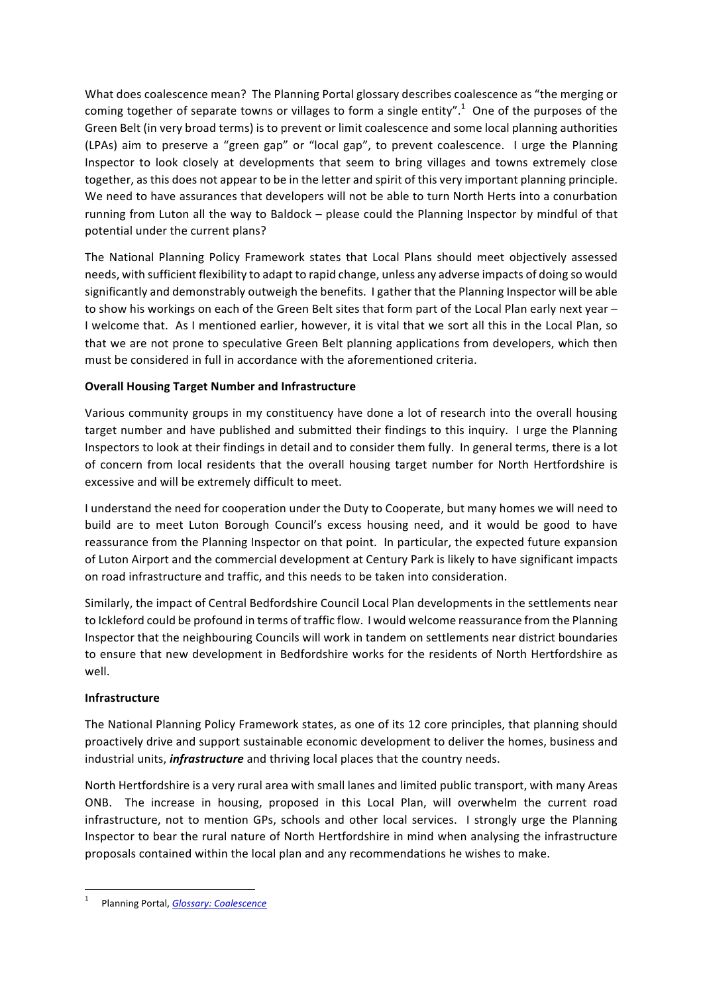What does coalescence mean? The Planning Portal glossary describes coalescence as "the merging or coming together of separate towns or villages to form a single entity".<sup>1</sup> One of the purposes of the Green Belt (in very broad terms) is to prevent or limit coalescence and some local planning authorities (LPAs) aim to preserve a "green gap" or "local gap", to prevent coalescence. I urge the Planning Inspector to look closely at developments that seem to bring villages and towns extremely close together, as this does not appear to be in the letter and spirit of this very important planning principle. We need to have assurances that developers will not be able to turn North Herts into a conurbation running from Luton all the way to Baldock – please could the Planning Inspector by mindful of that potential under the current plans?

The National Planning Policy Framework states that Local Plans should meet objectively assessed needs, with sufficient flexibility to adapt to rapid change, unless any adverse impacts of doing so would significantly and demonstrably outweigh the benefits. I gather that the Planning Inspector will be able to show his workings on each of the Green Belt sites that form part of the Local Plan early next year -I welcome that. As I mentioned earlier, however, it is vital that we sort all this in the Local Plan, so that we are not prone to speculative Green Belt planning applications from developers, which then must be considered in full in accordance with the aforementioned criteria.

# **Overall Housing Target Number and Infrastructure**

Various community groups in my constituency have done a lot of research into the overall housing target number and have published and submitted their findings to this inquiry. I urge the Planning Inspectors to look at their findings in detail and to consider them fully. In general terms, there is a lot of concern from local residents that the overall housing target number for North Hertfordshire is excessive and will be extremely difficult to meet.

I understand the need for cooperation under the Duty to Cooperate, but many homes we will need to build are to meet Luton Borough Council's excess housing need, and it would be good to have reassurance from the Planning Inspector on that point. In particular, the expected future expansion of Luton Airport and the commercial development at Century Park is likely to have significant impacts on road infrastructure and traffic, and this needs to be taken into consideration.

Similarly, the impact of Central Bedfordshire Council Local Plan developments in the settlements near to Ickleford could be profound in terms of traffic flow. I would welcome reassurance from the Planning Inspector that the neighbouring Councils will work in tandem on settlements near district boundaries to ensure that new development in Bedfordshire works for the residents of North Hertfordshire as well.

# **Infrastructure**

The National Planning Policy Framework states, as one of its 12 core principles, that planning should proactively drive and support sustainable economic development to deliver the homes, business and industrial units, *infrastructure* and thriving local places that the country needs.

North Hertfordshire is a very rural area with small lanes and limited public transport, with many Areas ONB. The increase in housing, proposed in this Local Plan, will overwhelm the current road infrastructure, not to mention GPs, schools and other local services. I strongly urge the Planning Inspector to bear the rural nature of North Hertfordshire in mind when analysing the infrastructure proposals contained within the local plan and any recommendations he wishes to make.

Planning Portal, *Glossary: Coalescence*